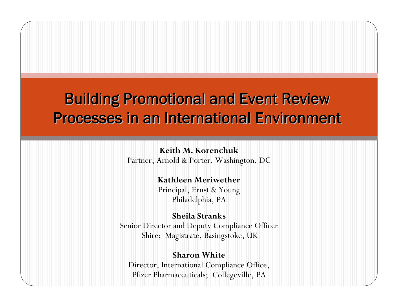## **Building Promotional and Event Review** Processes in an International Environment

### **Keith M. Korenchuk**

Partner, Arnold & Porter, Washington, DC

### **Kathleen Meriwether**

Principal, Ernst & Young Philadelphia, PA

## **Sheila Stranks**Senior Director and Deputy Compliance Officer Shire; Magistrate, Basingstoke, UK

### **Sharon White**

Director, International Compliance Office, Pfizer Pharmaceuticals; Collegeville, PA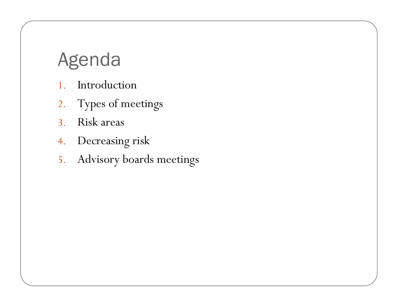# Agenda

- 1. Introduction
- 2. Types of meetings
- 3. Risk areas
- 4. Decreasing risk
- 5. Advisory boards meetings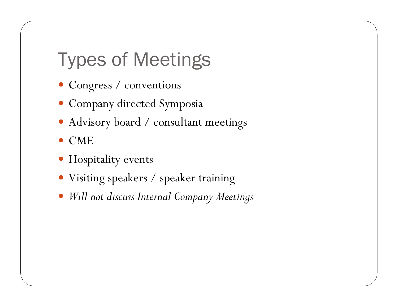# Types of Meetings

- Congress / conventions
- · Company directed Symposia
- Advisory board / consultant meetings
- $\bullet$  CME
- · Hospitality events
- Visiting speakers / speaker training
- $\bullet$ *Will not discuss Internal Company Meetings*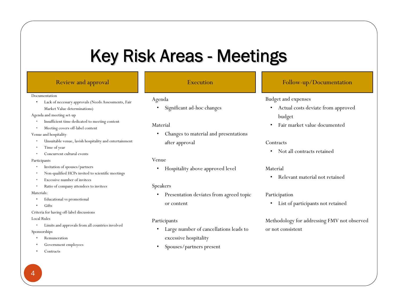# Key Risk Areas - Meetings

#### Documentation

• Lack of necessary approvals (Needs Assessments, Fair Market Value determinations)

Agenda and meeting set-up

- Insufficient time dedicated to meeting content
- Meeting covers off-label content

Venue and hospitality

- •Unsuitable venue, lavish hospitality and entertainment
- •Time of year
- •Concurrent cultural events

#### Participants

- Invitation of spouses/partners
- •Non-qualified HCPs invited to scientific meetings
- •Excessive number of invitees
- •Ratio of company attendees to invitees

#### Materials:

- Educational vs promotional
- Gifts

Criteria for having off-label discussions

#### Local Rules

•Limits and approvals from all countries involved

#### Sponsorships

- Remuneration
- Government employees
- **Contracts**

### Agenda

•Significant ad-hoc changes

### Material

• Changes to material and presentations after approval

#### Venue

•Hospitality above approved level

### Speakers

• Presentation deviates from agreed topic or content

#### Participants

- • Large number of cancellations leads to excessive hospitality
- •Spouses/partners present

### Review and approval **Execution** Execution Follow-up/Documentation

### Budget and expenses

- Actual costs deviate from approved budget
- •Fair market value documented

#### **Contracts**

• Not all contracts retained

#### Material

•Relevant material not retained

### Participation

• List of participants not retained

Methodology for addressing FMV not observed or not consistent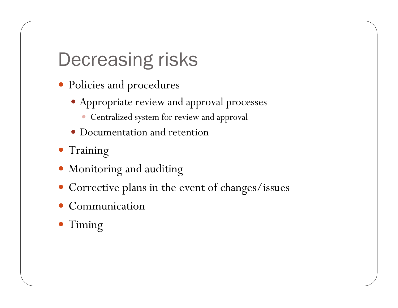# Decreasing risks

- Policies and procedures
	- Appropriate review and approval processes
		- Centralized system for review and approval
	- Documentation and retention
- Training
- Monitoring and auditing
- Corrective plans in the event of changes/issues
- $\bullet$ Communication
- Timing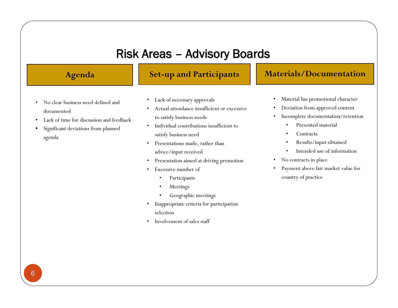## Risk Areas – Advisory Boards

- • No clear business need defined and documented
- •Lack of time for discussion and feedback
- Significant deviations from planned agenda

## **Agenda Set-up and Participants Materials/Documentation**

- •Lack of necessary approvals
- • Actual attendance insufficient or excessive to satisfy business needs
- • Individual contributions insufficient to satisfy business need
- • Presentations made, rather than advice/input received
- •Presentation aimed at driving promotion
- • Excessive number of
	- •Participants
	- •Meetings
	- •Geographic meetings
- • Inappropriate criteria for participation selection
- •Involvement of sales staff

- •Material has promotional character
- •Deviation from approved content
- • Incomplete documentation/retention
	- •Presented material
	- •**Contracts**
	- •Results/input obtained
	- •Intended use of information
- •No contracts in place
- • Payment above fair market value for country of practice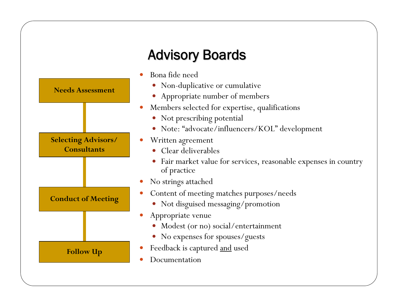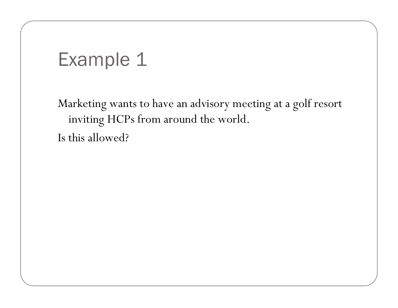## Example 1

Marketing wants to have an advisory meeting at a golf resort inviting HCPs from around the world. Is this allowed?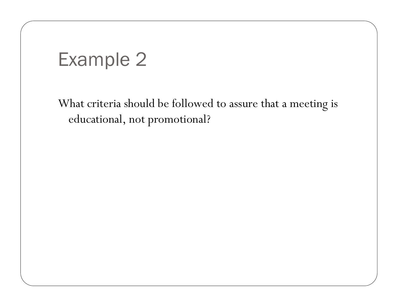# Example 2

What criteria should be followed to assure that a meeting is educational, not promotional?